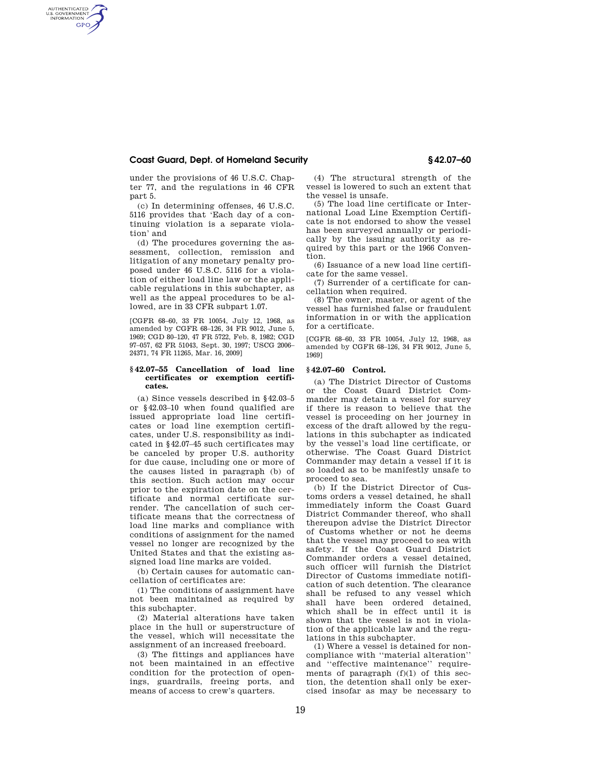## **Coast Guard, Dept. of Homeland Security § 42.07–60**

AUTHENTICATED<br>U.S. GOVERNMENT<br>INFORMATION **GPO** 

> under the provisions of 46 U.S.C. Chapter 77, and the regulations in 46 CFR part 5.

(c) In determining offenses, 46 U.S.C. 5116 provides that 'Each day of a continuing violation is a separate violation' and

(d) The procedures governing the assessment, collection, remission and litigation of any monetary penalty proposed under 46 U.S.C. 5116 for a violation of either load line law or the applicable regulations in this subchapter, as well as the appeal procedures to be allowed, are in 33 CFR subpart 1.07.

[CGFR 68–60, 33 FR 10054, July 12, 1968, as amended by CGFR 68–126, 34 FR 9012, June 5, 1969; CGD 80–120, 47 FR 5722, Feb. 8, 1982; CGD 97–057, 62 FR 51043, Sept. 30, 1997; USCG 2006– 24371, 74 FR 11265, Mar. 16, 2009]

## **§ 42.07–55 Cancellation of load line certificates or exemption certificates.**

(a) Since vessels described in §42.03–5 or §42.03–10 when found qualified are issued appropriate load line certificates or load line exemption certificates, under U.S. responsibility as indicated in §42.07–45 such certificates may be canceled by proper U.S. authority for due cause, including one or more of the causes listed in paragraph (b) of this section. Such action may occur prior to the expiration date on the certificate and normal certificate surrender. The cancellation of such certificate means that the correctness of load line marks and compliance with conditions of assignment for the named vessel no longer are recognized by the United States and that the existing assigned load line marks are voided.

(b) Certain causes for automatic cancellation of certificates are:

(1) The conditions of assignment have not been maintained as required by this subchapter.

(2) Material alterations have taken place in the hull or superstructure of the vessel, which will necessitate the assignment of an increased freeboard.

(3) The fittings and appliances have not been maintained in an effective condition for the protection of openings, guardrails, freeing ports, and means of access to crew's quarters.

(4) The structural strength of the vessel is lowered to such an extent that the vessel is unsafe.

(5) The load line certificate or International Load Line Exemption Certificate is not endorsed to show the vessel has been surveyed annually or periodically by the issuing authority as required by this part or the 1966 Convention.

(6) Issuance of a new load line certificate for the same vessel.

(7) Surrender of a certificate for cancellation when required.

(8) The owner, master, or agent of the vessel has furnished false or fraudulent information in or with the application for a certificate.

[CGFR 68–60, 33 FR 10054, July 12, 1968, as amended by CGFR 68–126, 34 FR 9012, June 5, 1969]

## **§ 42.07–60 Control.**

(a) The District Director of Customs or the Coast Guard District Commander may detain a vessel for survey if there is reason to believe that the vessel is proceeding on her journey in excess of the draft allowed by the regulations in this subchapter as indicated by the vessel's load line certificate, or otherwise. The Coast Guard District Commander may detain a vessel if it is so loaded as to be manifestly unsafe to proceed to sea.

(b) If the District Director of Customs orders a vessel detained, he shall immediately inform the Coast Guard District Commander thereof, who shall thereupon advise the District Director of Customs whether or not he deems that the vessel may proceed to sea with safety. If the Coast Guard District Commander orders a vessel detained, such officer will furnish the District Director of Customs immediate notification of such detention. The clearance shall be refused to any vessel which shall have been ordered detained, which shall be in effect until it is shown that the vessel is not in violation of the applicable law and the regulations in this subchapter.

(1) Where a vessel is detained for noncompliance with ''material alteration'' and ''effective maintenance'' requirements of paragraph (f)(1) of this section, the detention shall only be exercised insofar as may be necessary to